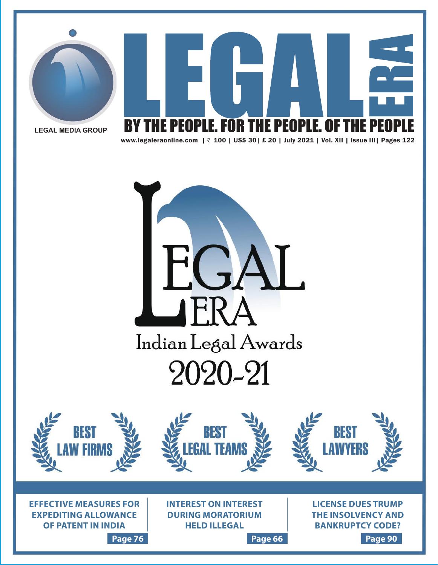



**LEGAL MEDIA GROUP**

www.legaleraonline.com | ` 100 | US\$ 30| £ 20 | July 2021 | Vol. XII | Issue III| Pages 122



**Page 76 Page 66 Page 90**

**THE INSOLVENCY AND BANKRUPTCY CODE?**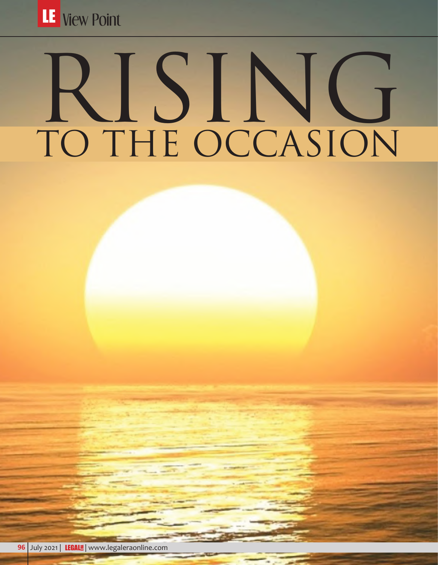

# RISING TO THE OCCASION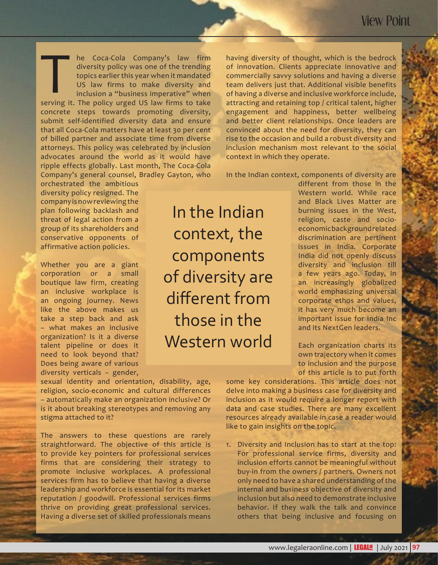he Coca-Cola Company's law firm diversity policy was one of the trending topics earlier this year when it mandated US law firms to make diversity and inclusion a "business imperative" when The Coca-Cola Company's law firm<br>diversity policy was one of the trending<br>topics earlier this year when it mandated<br>US law firms to make diversity and<br>inclusion a "business imperative" when<br>serving it. The policy urged US concrete steps towards promoting diversity, submit self-identified diversity data and ensure that all Coca-Cola matters have at least 30 per cent of billed partner and associate time from diverse attorneys. This policy was celebrated by inclusion advocates around the world as it would have ripple effects globally. Last month, The Coca-Cola Company's general counsel, Bradley Gayton, who

orchestrated the ambitious diversity policy resigned. The company is now reviewing the plan following backlash and threat of legal action from a group of its shareholders and conservative opponents of affirmative action policies.

Whether you are a giant corporation or a small boutique law firm, creating an inclusive workplace is an ongoing journey. News like the above makes us take a step back and ask – what makes an inclusive organization? Is it a diverse talent pipeline or does it need to look beyond that? Does being aware of various diversity verticals – gender,

In the Indian context, the components of diversity are different from those in the Western world

having diversity of thought, which is the bedrock of innovation. Clients appreciate innovative and commercially savvy solutions and having a diverse team delivers just that. Additional visible benefits of having a diverse and inclusive workforce include, attracting and retaining top / critical talent, higher engagement and happiness, better wellbeing and better client relationships. Once leaders are convinced about the need for diversity, they can rise to the occasion and build a robust diversity and inclusion mechanism most relevant to the social context in which they operate.

In the Indian context, components of diversity are

different from those in the Western world. While race and Black Lives Matter are burning issues in the West, religion, caste and socioeconomic background related discrimination are pertinent issues in India. Corporate India did not openly discuss diversity and inclusion till a few years ago. Today, in an increasingly globalized world emphasizing universal corporate ethos and values, it has very much become an important issue for India Inc and its NextGen leaders.

Each organization charts its own trajectory when it comes to inclusion and the purpose of this article is to put forth

sexual identity and orientation, disability, age, religion, socio-economic and cultural differences – automatically make an organization inclusive? Or is it about breaking stereotypes and removing any stigma attached to it?

The answers to these questions are rarely straightforward. The objective of this article is to provide key pointers for professional services firms that are considering their strategy to promote inclusive workplaces. A professional services firm has to believe that having a diverse leadership and workforce is essential for its market reputation / goodwill. Professional services firms thrive on providing great professional services. Having a diverse set of skilled professionals means some key considerations. This article does not delve into making a business case for diversity and inclusion as it would require a longer report with data and case studies. There are many excellent resources already available in case a reader would like to gain insights on the topic.

1. Diversity and Inclusion has to start at the top: For professional service firms, diversity and inclusion efforts cannot be meaningful without buy-in from the owners / partners. Owners not only need to have a shared understanding of the internal and business objective of diversity and inclusion but also need to demonstrate inclusive behavior. If they walk the talk and convince others that being inclusive and focusing on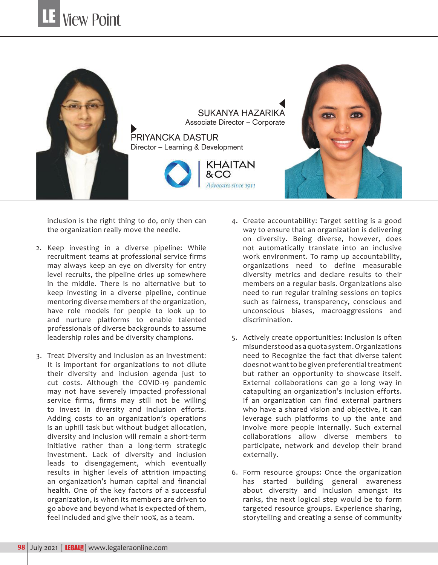

inclusion is the right thing to do, only then can the organization really move the needle.

- 2. Keep investing in a diverse pipeline: While recruitment teams at professional service firms may always keep an eye on diversity for entry level recruits, the pipeline dries up somewhere in the middle. There is no alternative but to keep investing in a diverse pipeline, continue mentoring diverse members of the organization, have role models for people to look up to and nurture platforms to enable talented professionals of diverse backgrounds to assume leadership roles and be diversity champions.
- 3. Treat Diversity and Inclusion as an investment: It is important for organizations to not dilute their diversity and inclusion agenda just to cut costs. Although the COVID-19 pandemic may not have severely impacted professional service firms, firms may still not be willing to invest in diversity and inclusion efforts. Adding costs to an organization's operations is an uphill task but without budget allocation, diversity and inclusion will remain a short-term initiative rather than a long-term strategic investment. Lack of diversity and inclusion leads to disengagement, which eventually results in higher levels of attrition impacting an organization's human capital and financial health. One of the key factors of a successful organization, is when its members are driven to go above and beyond what is expected of them, feel included and give their 100%, as a team.
- 4. Create accountability: Target setting is a good way to ensure that an organization is delivering on diversity. Being diverse, however, does not automatically translate into an inclusive work environment. To ramp up accountability, organizations need to define measurable diversity metrics and declare results to their members on a regular basis. Organizations also need to run regular training sessions on topics such as fairness, transparency, conscious and unconscious biases, macroaggressions and discrimination.
- 5. Actively create opportunities: Inclusion is often misunderstood as a quota system. Organizations need to Recognize the fact that diverse talent does not want to be given preferential treatment but rather an opportunity to showcase itself. External collaborations can go a long way in catapulting an organization's inclusion efforts. If an organization can find external partners who have a shared vision and objective, it can leverage such platforms to up the ante and involve more people internally. Such external collaborations allow diverse members to participate, network and develop their brand externally.
- 6. Form resource groups: Once the organization has started building general awareness about diversity and inclusion amongst its ranks, the next logical step would be to form targeted resource groups. Experience sharing, storytelling and creating a sense of community